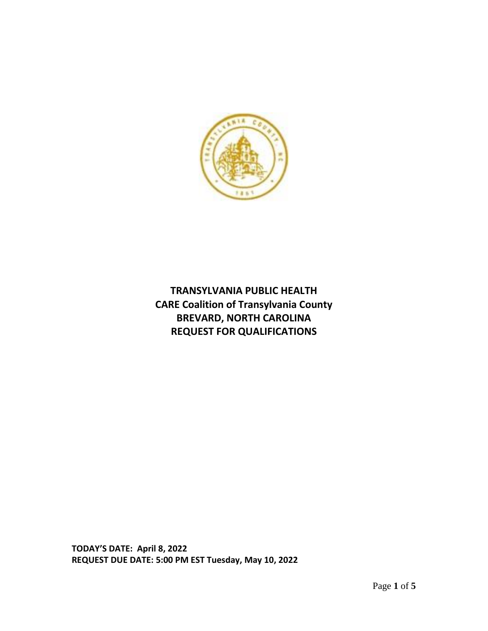

**TRANSYLVANIA PUBLIC HEALTH CARE Coalition of Transylvania County BREVARD, NORTH CAROLINA REQUEST FOR QUALIFICATIONS**

**TODAY'S DATE: April 8, 2022 REQUEST DUE DATE: 5:00 PM EST Tuesday, May 10, 2022**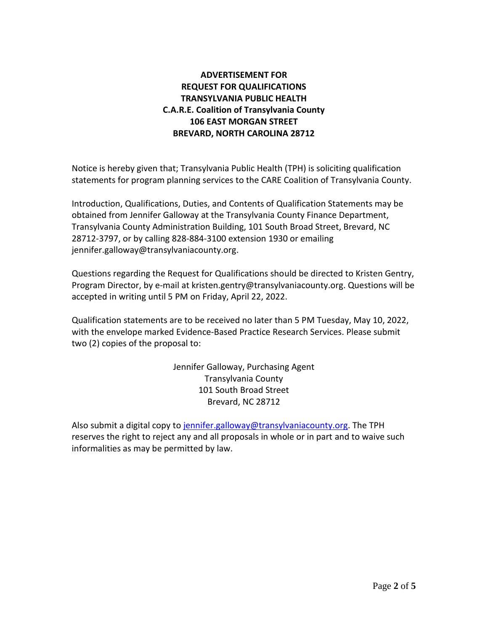# **ADVERTISEMENT FOR REQUEST FOR QUALIFICATIONS TRANSYLVANIA PUBLIC HEALTH C.A.R.E. Coalition of Transylvania County 106 EAST MORGAN STREET BREVARD, NORTH CAROLINA 28712**

Notice is hereby given that; Transylvania Public Health (TPH) is soliciting qualification statements for program planning services to the CARE Coalition of Transylvania County.

Introduction, Qualifications, Duties, and Contents of Qualification Statements may be obtained from Jennifer Galloway at the Transylvania County Finance Department, Transylvania County Administration Building, 101 South Broad Street, Brevard, NC 28712-3797, or by calling 828-884-3100 extension 1930 or emailing jennifer.galloway@transylvaniacounty.org.

Questions regarding the Request for Qualifications should be directed to Kristen Gentry, Program Director, by e-mail at kristen.gentry@transylvaniacounty.org. Questions will be accepted in writing until 5 PM on Friday, April 22, 2022.

Qualification statements are to be received no later than 5 PM Tuesday, May 10, 2022, with the envelope marked Evidence-Based Practice Research Services. Please submit two (2) copies of the proposal to:

> Jennifer Galloway, Purchasing Agent Transylvania County 101 South Broad Street Brevard, NC 28712

Also submit a digital copy to [jennifer.galloway@transylvaniacounty.org.](mailto:jennifer.galloway@transylvaniacounty.org) The TPH reserves the right to reject any and all proposals in whole or in part and to waive such informalities as may be permitted by law.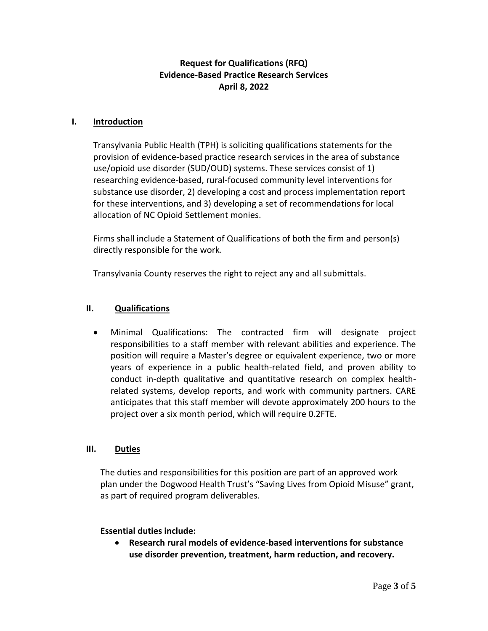## **Request for Qualifications (RFQ) Evidence-Based Practice Research Services April 8, 2022**

#### **I. Introduction**

Transylvania Public Health (TPH) is soliciting qualifications statements for the provision of evidence-based practice research services in the area of substance use/opioid use disorder (SUD/OUD) systems. These services consist of 1) researching evidence-based, rural-focused community level interventions for substance use disorder, 2) developing a cost and process implementation report for these interventions, and 3) developing a set of recommendations for local allocation of NC Opioid Settlement monies.

Firms shall include a Statement of Qualifications of both the firm and person(s) directly responsible for the work.

Transylvania County reserves the right to reject any and all submittals.

### **II. Qualifications**

• Minimal Qualifications: The contracted firm will designate project responsibilities to a staff member with relevant abilities and experience. The position will require a Master's degree or equivalent experience, two or more years of experience in a public health-related field, and proven ability to conduct in-depth qualitative and quantitative research on complex healthrelated systems, develop reports, and work with community partners. CARE anticipates that this staff member will devote approximately 200 hours to the project over a six month period, which will require 0.2FTE.

### **III. Duties**

The duties and responsibilities for this position are part of an approved work plan under the Dogwood Health Trust's "Saving Lives from Opioid Misuse" grant, as part of required program deliverables.

#### **Essential duties include:**

• **Research rural models of evidence-based interventions for substance use disorder prevention, treatment, harm reduction, and recovery.**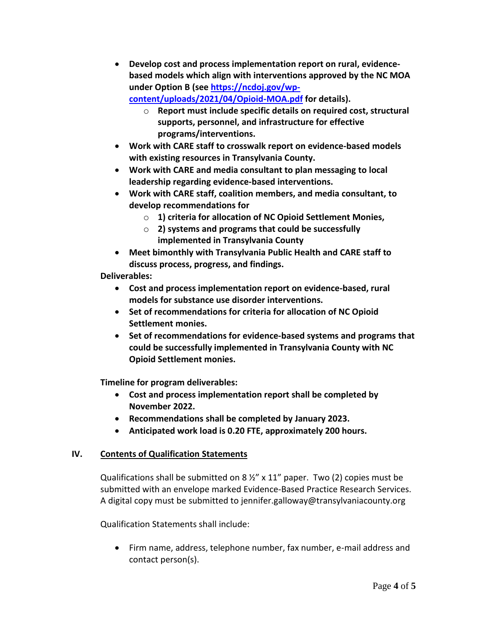• **Develop cost and process implementation report on rural, evidencebased models which align with interventions approved by the NC MOA under Option B (see [https://ncdoj.gov/wp](https://ncdoj.gov/wp-content/uploads/2021/04/Opioid-MOA.pdf)[content/uploads/2021/04/Opioid-MOA.pdf](https://ncdoj.gov/wp-content/uploads/2021/04/Opioid-MOA.pdf) for details).** 

o **Report must include specific details on required cost, structural supports, personnel, and infrastructure for effective programs/interventions.** 

- **Work with CARE staff to crosswalk report on evidence-based models with existing resources in Transylvania County.**
- **Work with CARE and media consultant to plan messaging to local leadership regarding evidence-based interventions.**
- **Work with CARE staff, coalition members, and media consultant, to develop recommendations for** 
	- o **1) criteria for allocation of NC Opioid Settlement Monies,**
	- o **2) systems and programs that could be successfully implemented in Transylvania County**
- **Meet bimonthly with Transylvania Public Health and CARE staff to discuss process, progress, and findings.**

**Deliverables:**

- **Cost and process implementation report on evidence-based, rural models for substance use disorder interventions.**
- **Set of recommendations for criteria for allocation of NC Opioid Settlement monies.**
- **Set of recommendations for evidence-based systems and programs that could be successfully implemented in Transylvania County with NC Opioid Settlement monies.**

**Timeline for program deliverables:**

- **Cost and process implementation report shall be completed by November 2022.**
- **Recommendations shall be completed by January 2023.**
- **Anticipated work load is 0.20 FTE, approximately 200 hours.**

# **IV. Contents of Qualification Statements**

Qualifications shall be submitted on 8 ½" x 11" paper. Two (2) copies must be submitted with an envelope marked Evidence-Based Practice Research Services. A digital copy must be submitted to jennifer.galloway@transylvaniacounty.org

Qualification Statements shall include:

• Firm name, address, telephone number, fax number, e-mail address and contact person(s).